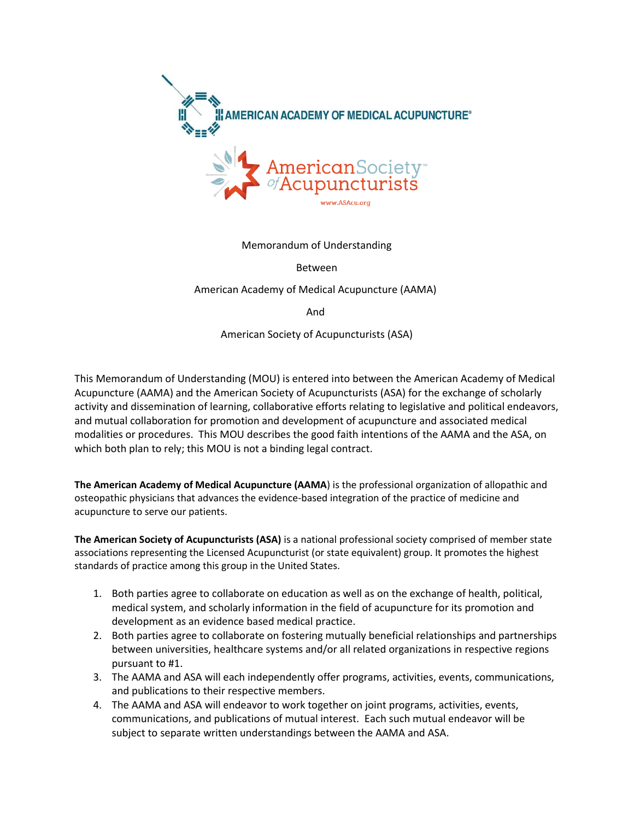

Memorandum of Understanding

Between

American Academy of Medical Acupuncture (AAMA)

And

American Society of Acupuncturists (ASA)

This Memorandum of Understanding (MOU) is entered into between the American Academy of Medical Acupuncture (AAMA) and the American Society of Acupuncturists (ASA) for the exchange of scholarly activity and dissemination of learning, collaborative efforts relating to legislative and political endeavors, and mutual collaboration for promotion and development of acupuncture and associated medical modalities or procedures. This MOU describes the good faith intentions of the AAMA and the ASA, on which both plan to rely; this MOU is not a binding legal contract.

**The American Academy of Medical Acupuncture (AAMA**) is the professional organization of allopathic and osteopathic physicians that advances the evidence-based integration of the practice of medicine and acupuncture to serve our patients.

**The American Society of Acupuncturists (ASA)** is a national professional society comprised of member state associations representing the Licensed Acupuncturist (or state equivalent) group. It promotes the highest standards of practice among this group in the United States.

- 1. Both parties agree to collaborate on education as well as on the exchange of health, political, medical system, and scholarly information in the field of acupuncture for its promotion and development as an evidence based medical practice.
- 2. Both parties agree to collaborate on fostering mutually beneficial relationships and partnerships between universities, healthcare systems and/or all related organizations in respective regions pursuant to #1.
- 3. The AAMA and ASA will each independently offer programs, activities, events, communications, and publications to their respective members.
- 4. The AAMA and ASA will endeavor to work together on joint programs, activities, events, communications, and publications of mutual interest. Each such mutual endeavor will be subject to separate written understandings between the AAMA and ASA.